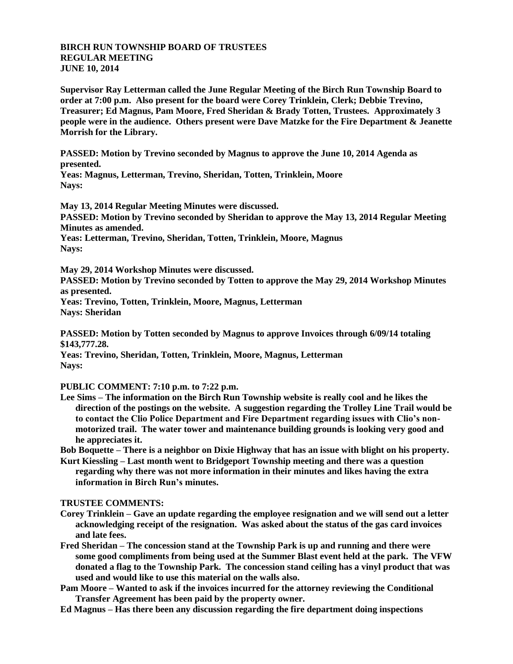## **BIRCH RUN TOWNSHIP BOARD OF TRUSTEES REGULAR MEETING JUNE 10, 2014**

**Supervisor Ray Letterman called the June Regular Meeting of the Birch Run Township Board to order at 7:00 p.m. Also present for the board were Corey Trinklein, Clerk; Debbie Trevino, Treasurer; Ed Magnus, Pam Moore, Fred Sheridan & Brady Totten, Trustees. Approximately 3 people were in the audience. Others present were Dave Matzke for the Fire Department & Jeanette Morrish for the Library.**

**PASSED: Motion by Trevino seconded by Magnus to approve the June 10, 2014 Agenda as presented.**

**Yeas: Magnus, Letterman, Trevino, Sheridan, Totten, Trinklein, Moore Nays:** 

**May 13, 2014 Regular Meeting Minutes were discussed. PASSED: Motion by Trevino seconded by Sheridan to approve the May 13, 2014 Regular Meeting Minutes as amended.**

**Yeas: Letterman, Trevino, Sheridan, Totten, Trinklein, Moore, Magnus Nays:** 

**May 29, 2014 Workshop Minutes were discussed.**

**PASSED: Motion by Trevino seconded by Totten to approve the May 29, 2014 Workshop Minutes as presented.**

**Yeas: Trevino, Totten, Trinklein, Moore, Magnus, Letterman Nays: Sheridan**

**PASSED: Motion by Totten seconded by Magnus to approve Invoices through 6/09/14 totaling \$143,777.28.**

**Yeas: Trevino, Sheridan, Totten, Trinklein, Moore, Magnus, Letterman Nays:**

**PUBLIC COMMENT: 7:10 p.m. to 7:22 p.m.**

**Lee Sims – The information on the Birch Run Township website is really cool and he likes the direction of the postings on the website. A suggestion regarding the Trolley Line Trail would be to contact the Clio Police Department and Fire Department regarding issues with Clio's nonmotorized trail. The water tower and maintenance building grounds is looking very good and he appreciates it.**

**Bob Boquette – There is a neighbor on Dixie Highway that has an issue with blight on his property.**

**Kurt Kiessling – Last month went to Bridgeport Township meeting and there was a question regarding why there was not more information in their minutes and likes having the extra information in Birch Run's minutes.**

## **TRUSTEE COMMENTS:**

- **Corey Trinklein – Gave an update regarding the employee resignation and we will send out a letter acknowledging receipt of the resignation. Was asked about the status of the gas card invoices and late fees.**
- **Fred Sheridan – The concession stand at the Township Park is up and running and there were some good compliments from being used at the Summer Blast event held at the park. The VFW donated a flag to the Township Park. The concession stand ceiling has a vinyl product that was used and would like to use this material on the walls also.**

**Pam Moore – Wanted to ask if the invoices incurred for the attorney reviewing the Conditional Transfer Agreement has been paid by the property owner.**

**Ed Magnus – Has there been any discussion regarding the fire department doing inspections**